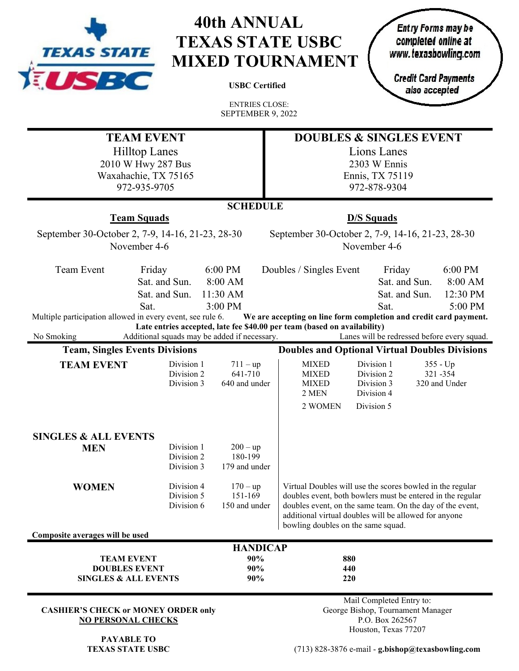

# **40th ANNUAL TEXAS STATE USBC MIXED TOURNAMENT**

**USBC Certified**

Entry Forms may be completed online at<br>www.texasbowling.com

**Credit Card Payments** also accepted

ENTRIES CLOSE: SEPTEMBER 9, 2022

|                                                            | <b>TEAM EVENT</b>                            |                 | <b>DOUBLES &amp; SINGLES EVENT</b>                                                          |  |  |  |  |
|------------------------------------------------------------|----------------------------------------------|-----------------|---------------------------------------------------------------------------------------------|--|--|--|--|
|                                                            | <b>Hilltop Lanes</b>                         |                 | Lions Lanes                                                                                 |  |  |  |  |
|                                                            | 2010 W Hwy 287 Bus                           |                 | 2303 W Ennis                                                                                |  |  |  |  |
| Waxahachie, TX 75165                                       |                                              |                 | Ennis, TX 75119                                                                             |  |  |  |  |
| 972-935-9705                                               |                                              |                 | 972-878-9304                                                                                |  |  |  |  |
|                                                            |                                              | <b>SCHEDULE</b> |                                                                                             |  |  |  |  |
|                                                            | <b>Team Squads</b>                           |                 | <b>D/S Squads</b>                                                                           |  |  |  |  |
| September 30-October 2, 7-9, 14-16, 21-23, 28-30           |                                              |                 | September 30-October 2, 7-9, 14-16, 21-23, 28-30                                            |  |  |  |  |
|                                                            | November 4-6                                 |                 | November 4-6                                                                                |  |  |  |  |
|                                                            |                                              |                 |                                                                                             |  |  |  |  |
| Team Event                                                 | Friday                                       | 6:00 PM         | Doubles / Singles Event<br>Friday<br>6:00 PM                                                |  |  |  |  |
|                                                            | Sat. and Sun.                                | 8:00 AM         | Sat. and Sun.<br>8:00 AM                                                                    |  |  |  |  |
|                                                            | Sat. and Sun.                                | 11:30 AM        | 12:30 PM<br>Sat. and Sun.                                                                   |  |  |  |  |
| Multiple participation allowed in every event, see rule 6. | Sat.                                         | 3:00 PM         | 5:00 PM<br>Sat.<br>We are accepting on line form completion and credit card payment.        |  |  |  |  |
|                                                            |                                              |                 | Late entries accepted, late fee \$40.00 per team (based on availability)                    |  |  |  |  |
| No Smoking                                                 | Additional squads may be added if necessary. |                 | Lanes will be redressed before every squad.                                                 |  |  |  |  |
| <b>Team, Singles Events Divisions</b>                      |                                              |                 | <b>Doubles and Optional Virtual Doubles Divisions</b>                                       |  |  |  |  |
| <b>TEAM EVENT</b>                                          | Division 1                                   | $711 - up$      | Division 1<br><b>MIXED</b><br>$355 - Up$                                                    |  |  |  |  |
|                                                            | Division 2                                   | 641-710         | <b>MIXED</b><br>Division 2<br>321-354                                                       |  |  |  |  |
|                                                            | Division 3                                   | 640 and under   | <b>MIXED</b><br>Division 3<br>320 and Under<br>2 MEN<br>Division 4                          |  |  |  |  |
|                                                            |                                              |                 | 2 WOMEN<br>Division 5                                                                       |  |  |  |  |
|                                                            |                                              |                 |                                                                                             |  |  |  |  |
|                                                            |                                              |                 |                                                                                             |  |  |  |  |
| <b>SINGLES &amp; ALL EVENTS</b><br><b>MEN</b>              | Division 1                                   | $200 - up$      |                                                                                             |  |  |  |  |
|                                                            | Division 2                                   | 180-199         |                                                                                             |  |  |  |  |
|                                                            | Division 3                                   | 179 and under   |                                                                                             |  |  |  |  |
| <b>WOMEN</b>                                               | Division 4                                   | $170 - up$      | Virtual Doubles will use the scores bowled in the regular                                   |  |  |  |  |
|                                                            | Division 5                                   | 151-169         | doubles event, both bowlers must be entered in the regular                                  |  |  |  |  |
|                                                            | Division 6                                   | 150 and under   | doubles event, on the same team. On the day of the event,                                   |  |  |  |  |
|                                                            |                                              |                 | additional virtual doubles will be allowed for anyone<br>bowling doubles on the same squad. |  |  |  |  |
| Composite averages will be used                            |                                              |                 |                                                                                             |  |  |  |  |
|                                                            |                                              | <b>HANDICAP</b> |                                                                                             |  |  |  |  |
| <b>TEAM EVENT</b>                                          |                                              | 90%             | 880                                                                                         |  |  |  |  |
| <b>DOUBLES EVENT</b><br><b>SINGLES &amp; ALL EVENTS</b>    |                                              | 90%             | 440                                                                                         |  |  |  |  |
|                                                            |                                              | 90%             | 220                                                                                         |  |  |  |  |
|                                                            |                                              |                 | Mail Completed Entry to:                                                                    |  |  |  |  |
| <b>CASHIER'S CHECK or MONEY ORDER only</b>                 |                                              |                 | George Bishop, Tournament Manager                                                           |  |  |  |  |
| <b>NO PERSONAL CHECKS</b>                                  |                                              |                 | P.O. Box 262567                                                                             |  |  |  |  |
| <b>PAYABLE TO</b>                                          |                                              |                 | Houston, Texas 77207                                                                        |  |  |  |  |

**TEXAS STATE USBC**

(713) 828-3876 e-mail - **g.bishop@texasbowling.com**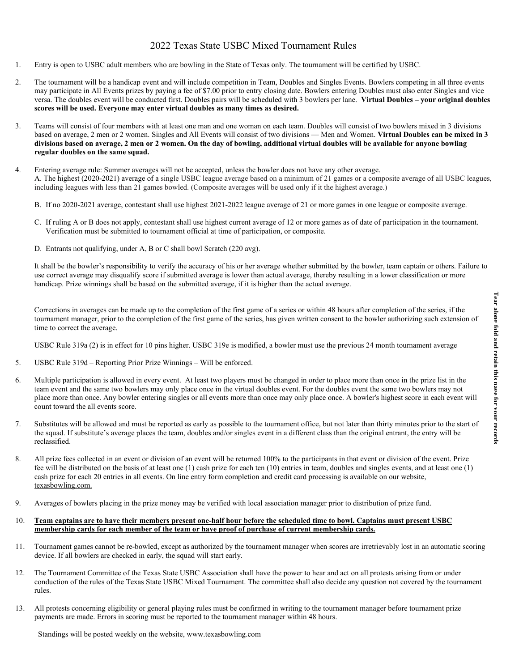## 2022 Texas State USBC Mixed Tournament Rules

- 1. Entry is open to USBC adult members who are bowling in the State of Texas only. The tournament will be certified by USBC.
- 2. The tournament will be a handicap event and will include competition in Team, Doubles and Singles Events. Bowlers competing in all three events may participate in All Events prizes by paying a fee of \$7.00 prior to entry closing date. Bowlers entering Doubles must also enter Singles and vice versa. The doubles event will be conducted first. Doubles pairs will be scheduled with 3 bowlers per lane. **Virtual Doubles – your original doubles scores will be used. Everyone may enter virtual doubles as many times as desired.**
- 3. Teams will consist of four members with at least one man and one woman on each team. Doubles will consist of two bowlers mixed in 3 divisions based on average, 2 men or 2 women. Singles and All Events will consist of two divisions — Men and Women. **Virtual Doubles can be mixed in 3 divisions based on average, 2 men or 2 women. On the day of bowling, additional virtual doubles will be available for anyone bowling regular doubles on the same squad.**
- 4. Entering average rule: Summer averages will not be accepted, unless the bowler does not have any other average. A. The highest (2020-2021) average of a single USBC league average based on a minimum of 21 games or a composite average of all USBC leagues, including leagues with less than 21 games bowled. (Composite averages will be used only if it the highest average.)
	- B. If no 2020-2021 average, contestant shall use highest 2021-2022 league average of 21 or more games in one league or composite average.
	- C. If ruling A or B does not apply, contestant shall use highest current average of 12 or more games as of date of participation in the tournament. Verification must be submitted to tournament official at time of participation, or composite.
	- D. Entrants not qualifying, under A, B or C shall bowl Scratch (220 avg).

It shall be the bowler's responsibility to verify the accuracy of his or her average whether submitted by the bowler, team captain or others. Failure to use correct average may disqualify score if submitted average is lower than actual average, thereby resulting in a lower classification or more handicap. Prize winnings shall be based on the submitted average, if it is higher than the actual average.

Corrections in averages can be made up to the completion of the first game of a series or within 48 hours after completion of the series, if the tournament manager, prior to the completion of the first game of the series, has given written consent to the bowler authorizing such extension of time to correct the average.

USBC Rule 319a (2) is in effect for 10 pins higher. USBC 319e is modified, a bowler must use the previous 24 month tournament average

- 5. USBC Rule 319d Reporting Prior Prize Winnings Will be enforced.
- 6. Multiple participation is allowed in every event. At least two players must be changed in order to place more than once in the prize list in the team event and the same two bowlers may only place once in the virtual doubles event. For the doubles event the same two bowlers may not place more than once. Any bowler entering singles or all events more than once may only place once. A bowler's highest score in each event will count toward the all events score.
- 7. Substitutes will be allowed and must be reported as early as possible to the tournament office, but not later than thirty minutes prior to the start of the squad. If substitute's average places the team, doubles and/or singles event in a different class than the original entrant, the entry will be reclassified.
- 8. All prize fees collected in an event or division of an event will be returned 100% to the participants in that event or division of the event. Prize fee will be distributed on the basis of at least one (1) cash prize for each ten (10) entries in team, doubles and singles events, and at least one (1) cash prize for each 20 entries in all events. On line entry form completion and credit card processing is available on our website, texasbowling.com.
- 9. Averages of bowlers placing in the prize money may be verified with local association manager prior to distribution of prize fund.

#### 10. **Team captains are to have their members present one-half hour before the scheduled time to bowl. Captains must present USBC membership cards for each member of the team or have proof of purchase of current membership cards.**

- 11. Tournament games cannot be re-bowled, except as authorized by the tournament manager when scores are irretrievably lost in an automatic scoring device. If all bowlers are checked in early, the squad will start early.
- 12. The Tournament Committee of the Texas State USBC Association shall have the power to hear and act on all protests arising from or under conduction of the rules of the Texas State USBC Mixed Tournament. The committee shall also decide any question not covered by the tournament rules.
- 13. All protests concerning eligibility or general playing rules must be confirmed in writing to the tournament manager before tournament prize payments are made. Errors in scoring must be reported to the tournament manager within 48 hours.

Standings will be posted weekly on the website, www.texasbowling.com